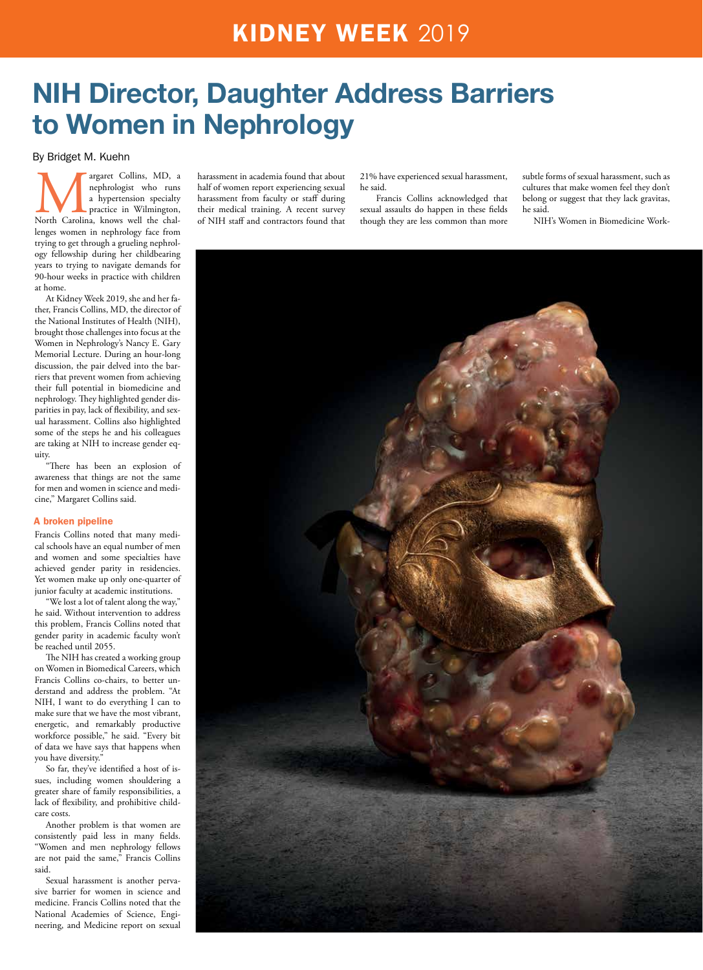### KIDNEY WEEK 2019

## NIH Director, Daughter Address Barriers to Women in Nephrology

#### By Bridget M. Kuehn

argaret Collins, MD, a nephrologist who runs a hypertension specialty practice in Wilmington, nephrologist who runs a hypertension specialty practice in Wilmington, lenges women in nephrology face from trying to get through a grueling nephrology fellowship during her childbearing years to trying to navigate demands for 90-hour weeks in practice with children at home.

At Kidney Week 2019, she and her father, Francis Collins, MD, the director of the National Institutes of Health (NIH), brought those challenges into focus at the Women in Nephrology's Nancy E. Gary Memorial Lecture. During an hour-long discussion, the pair delved into the barriers that prevent women from achieving their full potential in biomedicine and nephrology. They highlighted gender disparities in pay, lack of flexibility, and sexual harassment. Collins also highlighted some of the steps he and his colleagues are taking at NIH to increase gender equity.

"There has been an explosion of awareness that things are not the same for men and women in science and medicine," Margaret Collins said.

#### A broken pipeline

Francis Collins noted that many medical schools have an equal number of men and women and some specialties have achieved gender parity in residencies. Yet women make up only one-quarter of junior faculty at academic institutions.

We lost a lot of talent along the way," he said. Without intervention to address this problem, Francis Collins noted that gender parity in academic faculty won't be reached until 2055.

The NIH has created a working group on Women in Biomedical Careers, which Francis Collins co-chairs, to better understand and address the problem. "At NIH, I want to do everything I can to make sure that we have the most vibrant, energetic, and remarkably productive workforce possible," he said. "Every bit of data we have says that happens when you have diversity."

So far, they've identified a host of issues, including women shouldering a greater share of family responsibilities, a lack of flexibility, and prohibitive childcare costs.

Another problem is that women are consistently paid less in many fields. "Women and men nephrology fellows are not paid the same," Francis Collins said.

Sexual harassment is another pervasive barrier for women in science and medicine. Francis Collins noted that the National Academies of Science, Engineering, and Medicine report on sexual harassment in academia found that about half of women report experiencing sexual harassment from faculty or staff during their medical training. A recent survey of NIH staff and contractors found that 21% have experienced sexual harassment, he said.

 Francis Collins acknowledged that sexual assaults do happen in these fields though they are less common than more

subtle forms of sexual harassment, such as cultures that make women feel they don't belong or suggest that they lack gravitas, he said.

NIH's Women in Biomedicine Work-